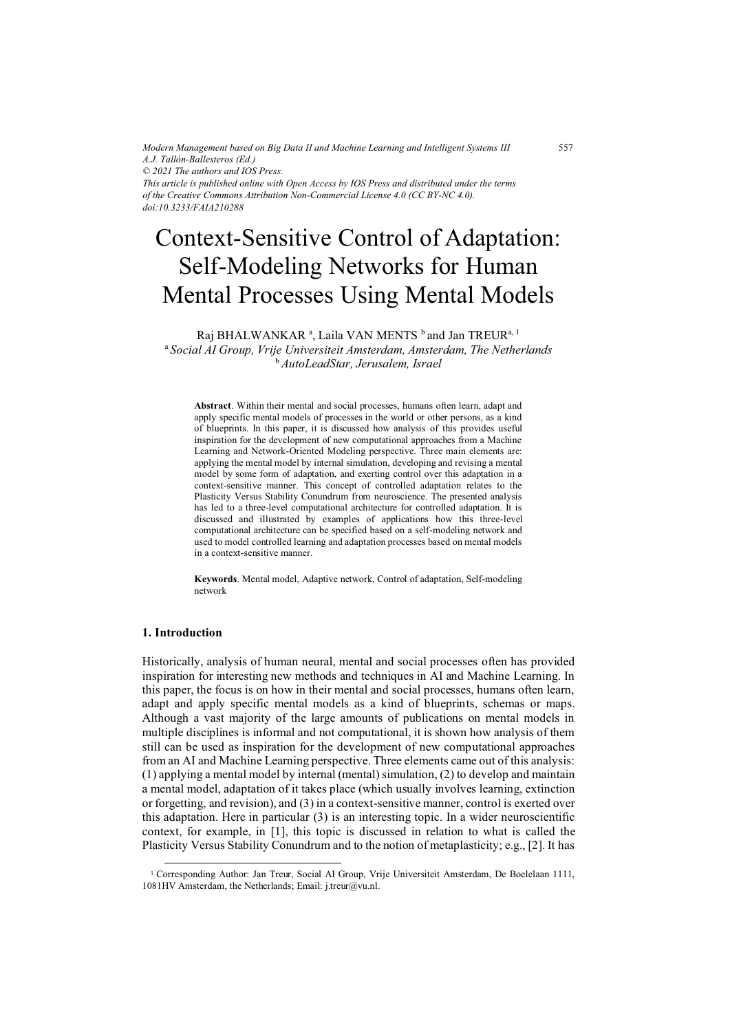*Modern Management based on Big Data II and Machine Learning and Intelligent Systems III A.J. Tallón-Ballesteros (Ed.) © 2021 The authors and IOS Press. This article is published online with Open Access by IOS Press and distributed under the terms of the Creative Commons Attribution Non-Commercial License 4.0 (CC BY-NC 4.0).*

*doi:10.3233/FAIA210288*

# Context-Sensitive Control of Adaptation: Self-Modeling Networks for Human Mental Processes Using Mental Models

Raj BHALWANKAR ª, Laila VAN MENTS <sup>b</sup> and Jan TREUR<sup>a, 1</sup>

<sup>a</sup>*Social AI Group, Vrije Universiteit Amsterdam, Amsterdam, The Netherlands*  <sup>b</sup>*AutoLeadStar, Jerusalem, Israel*

**Abstract**. Within their mental and social processes, humans often learn, adapt and apply specific mental models of processes in the world or other persons, as a kind of blueprints. In this paper, it is discussed how analysis of this provides useful inspiration for the development of new computational approaches from a Machine Learning and Network-Oriented Modeling perspective. Three main elements are: applying the mental model by internal simulation, developing and revising a mental model by some form of adaptation, and exerting control over this adaptation in a context-sensitive manner. This concept of controlled adaptation relates to the Plasticity Versus Stability Conundrum from neuroscience. The presented analysis has led to a three-level computational architecture for controlled adaptation. It is discussed and illustrated by examples of applications how this three-level computational architecture can be specified based on a self-modeling network and used to model controlled learning and adaptation processes based on mental models in a context-sensitive manner.

**Keywords**. Mental model, Adaptive network, Control of adaptation, Self-modeling network

### **1. Introduction**

Historically, analysis of human neural, mental and social processes often has provided inspiration for interesting new methods and techniques in AI and Machine Learning. In this paper, the focus is on how in their mental and social processes, humans often learn, adapt and apply specific mental models as a kind of blueprints, schemas or maps. Although a vast majority of the large amounts of publications on mental models in multiple disciplines is informal and not computational, it is shown how analysis of them still can be used as inspiration for the development of new computational approaches from an AI and Machine Learning perspective. Three elements came out of this analysis: (1) applying a mental model by internal (mental) simulation, (2) to develop and maintain a mental model, adaptation of it takes place (which usually involves learning, extinction or forgetting, and revision), and (3) in a context-sensitive manner, control is exerted over this adaptation. Here in particular (3) is an interesting topic. In a wider neuroscientific context, for example, in [1], this topic is discussed in relation to what is called the Plasticity Versus Stability Conundrum and to the notion of metaplasticity; e.g., [2]. It has

<sup>1</sup> Corresponding Author: Jan Treur, Social AI Group, Vrije Universiteit Amsterdam, De Boelelaan 1111, 1081HV Amsterdam, the Netherlands; Email: j.treur@vu.nl.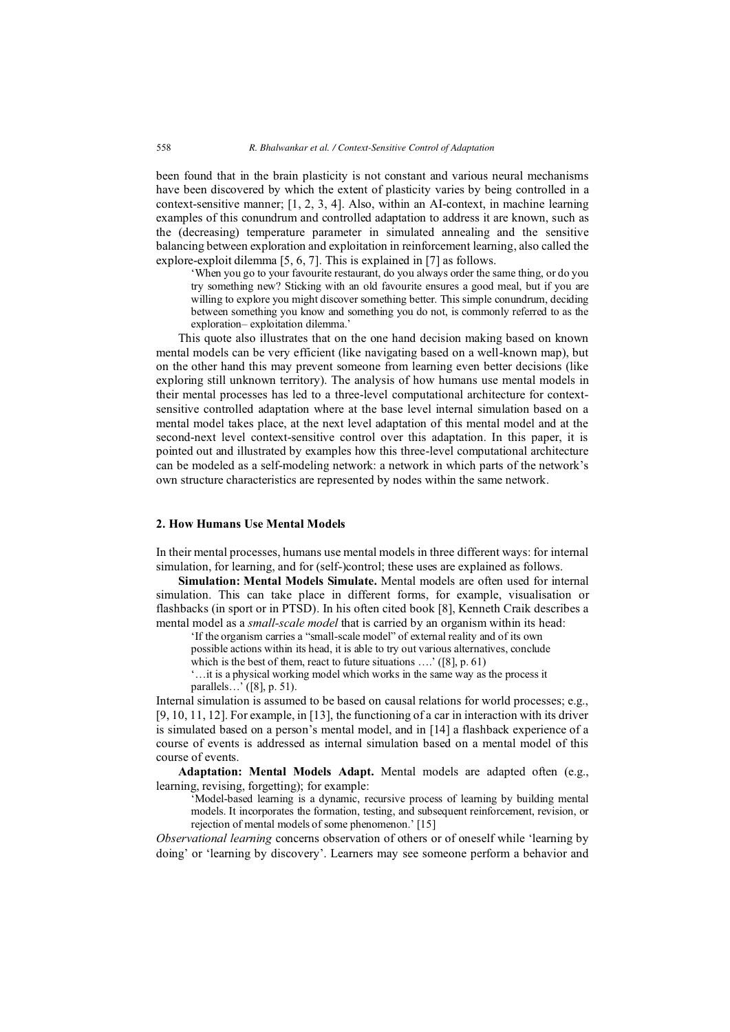been found that in the brain plasticity is not constant and various neural mechanisms have been discovered by which the extent of plasticity varies by being controlled in a context-sensitive manner; [1, 2, 3, 4]. Also, within an AI-context, in machine learning examples of this conundrum and controlled adaptation to address it are known, such as the (decreasing) temperature parameter in simulated annealing and the sensitive balancing between exploration and exploitation in reinforcement learning, also called the explore-exploit dilemma [5, 6, 7]. This is explained in [7] as follows.

'When you go to your favourite restaurant, do you always order the same thing, or do you try something new? Sticking with an old favourite ensures a good meal, but if you are willing to explore you might discover something better. This simple conundrum, deciding between something you know and something you do not, is commonly referred to as the exploration– exploitation dilemma.'

This quote also illustrates that on the one hand decision making based on known mental models can be very efficient (like navigating based on a well-known map), but on the other hand this may prevent someone from learning even better decisions (like exploring still unknown territory). The analysis of how humans use mental models in their mental processes has led to a three-level computational architecture for contextsensitive controlled adaptation where at the base level internal simulation based on a mental model takes place, at the next level adaptation of this mental model and at the second-next level context-sensitive control over this adaptation. In this paper, it is pointed out and illustrated by examples how this three-level computational architecture can be modeled as a self-modeling network: a network in which parts of the network's own structure characteristics are represented by nodes within the same network.

## **2. How Humans Use Mental Models**

In their mental processes, humans use mental models in three different ways: for internal simulation, for learning, and for (self-)control; these uses are explained as follows.

**Simulation: Mental Models Simulate.** Mental models are often used for internal simulation. This can take place in different forms, for example, visualisation or flashbacks (in sport or in PTSD). In his often cited book [8], Kenneth Craik describes a mental model as a *small-scale model* that is carried by an organism within its head:

'If the organism carries a "small-scale model" of external reality and of its own possible actions within its head, it is able to try out various alternatives, conclude which is the best of them, react to future situations ....' ([8], p. 61)

'…it is a physical working model which works in the same way as the process it

parallels…' ([8], p. 51).

Internal simulation is assumed to be based on causal relations for world processes; e.g., [9, 10, 11, 12]. For example, in [13], the functioning of a car in interaction with its driver is simulated based on a person's mental model, and in [14] a flashback experience of a course of events is addressed as internal simulation based on a mental model of this course of events.

**Adaptation: Mental Models Adapt.** Mental models are adapted often (e.g., learning, revising, forgetting); for example:

'Model-based learning is a dynamic, recursive process of learning by building mental models. It incorporates the formation, testing, and subsequent reinforcement, revision, or rejection of mental models of some phenomenon.' [15]

*Observational learning* concerns observation of others or of oneself while 'learning by doing' or 'learning by discovery'. Learners may see someone perform a behavior and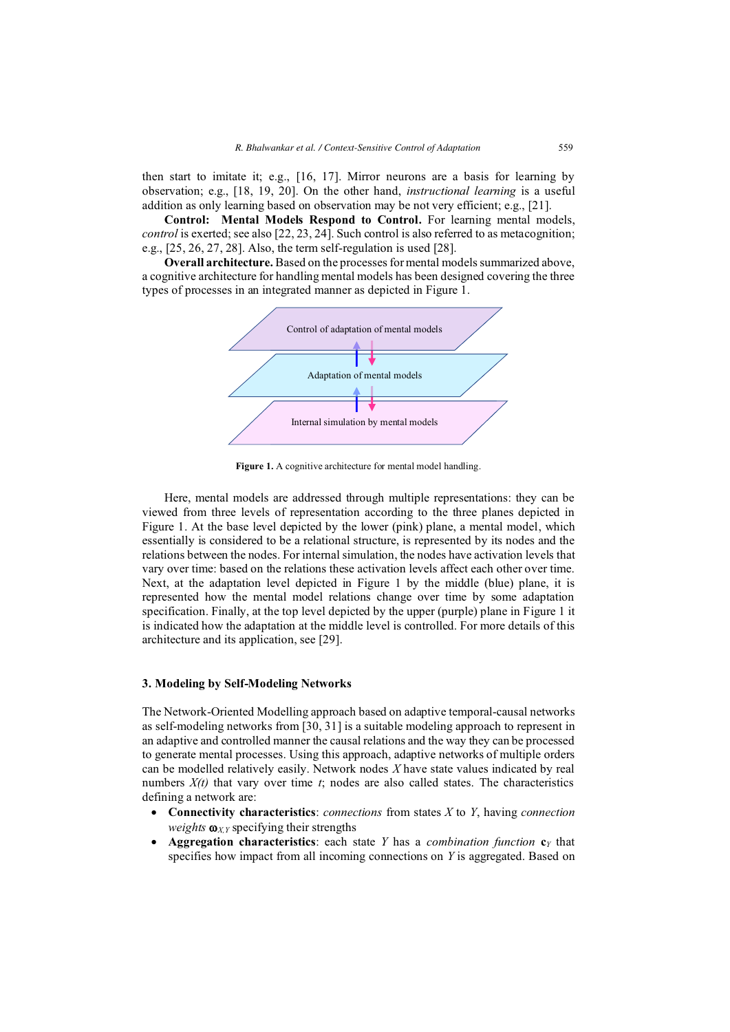then start to imitate it; e.g., [16, 17]. Mirror neurons are a basis for learning by observation; e.g., [18, 19, 20]. On the other hand, *instructional learning* is a useful addition as only learning based on observation may be not very efficient; e.g., [21].

**Control: Mental Models Respond to Control.** For learning mental models, *control* is exerted; see also [22, 23, 24]. Such control is also referred to as metacognition; e.g., [25, 26, 27, 28]. Also, the term self-regulation is used [28].

**Overall architecture.** Based on the processes for mental models summarized above, a cognitive architecture for handling mental models has been designed covering the three types of processes in an integrated manner as depicted in Figure 1.



Figure 1. A cognitive architecture for mental model handling.

Here, mental models are addressed through multiple representations: they can be viewed from three levels of representation according to the three planes depicted in Figure 1. At the base level depicted by the lower (pink) plane, a mental model, which essentially is considered to be a relational structure, is represented by its nodes and the relations between the nodes. For internal simulation, the nodes have activation levels that vary over time: based on the relations these activation levels affect each other over time. Next, at the adaptation level depicted in Figure 1 by the middle (blue) plane, it is represented how the mental model relations change over time by some adaptation specification. Finally, at the top level depicted by the upper (purple) plane in Figure 1 it is indicated how the adaptation at the middle level is controlled. For more details of this architecture and its application, see [29].

#### **3. Modeling by Self-Modeling Networks**

The Network-Oriented Modelling approach based on adaptive temporal-causal networks as self-modeling networks from [30, 31] is a suitable modeling approach to represent in an adaptive and controlled manner the causal relations and the way they can be processed to generate mental processes. Using this approach, adaptive networks of multiple orders can be modelled relatively easily. Network nodes *X* have state values indicated by real numbers  $X(t)$  that vary over time  $t$ ; nodes are also called states. The characteristics defining a network are:

- **Connectivity characteristics**: *connections* from states *X* to *Y*, having *connection weights*  $\omega_{XY}$  specifying their strengths
- **Aggregation characteristics**: each state *Y* has a *combination function* **c***Y* that specifies how impact from all incoming connections on *Y* is aggregated. Based on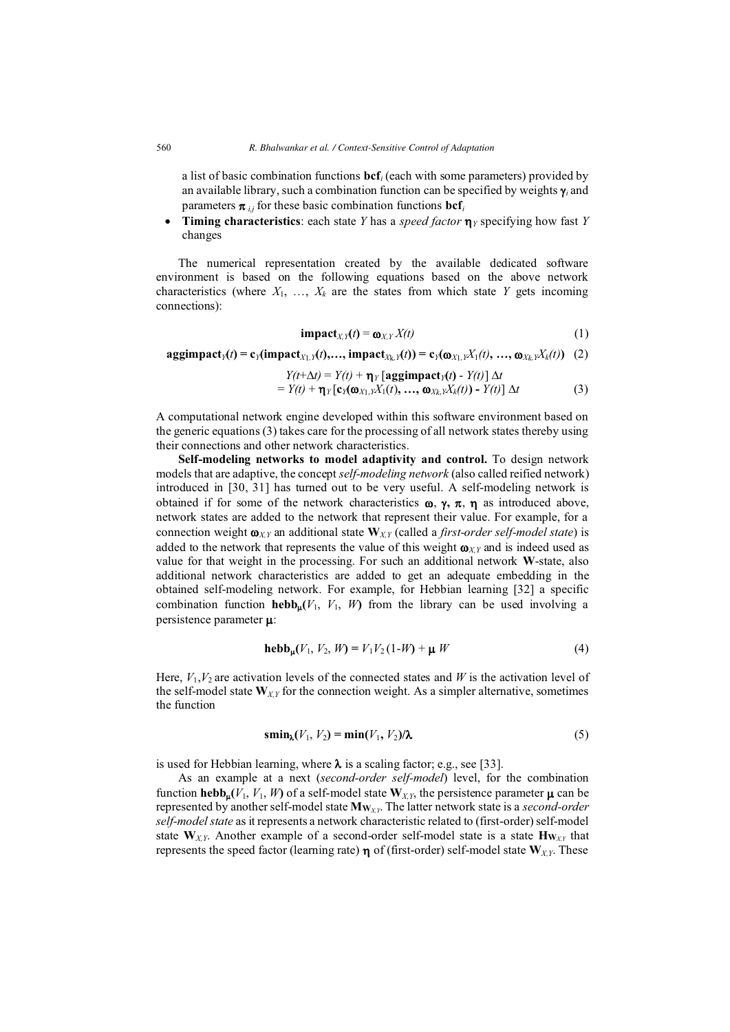a list of basic combination functions **bcf***i* (each with some parameters) provided by an available library, such a combination function can be specified by weights  $\gamma$  and parameters  $\pi_{ij}$  for these basic combination functions  $\text{bcf}_i$ 

 $\bullet$ **Timing characteristics**: each state *Y* has a *speed factor*  $\eta$ <sub>*Y*</sub> specifying how fast *Y* changes

The numerical representation created by the available dedicated software environment is based on the following equations based on the above network characteristics (where  $X_1, \ldots, X_k$  are the states from which state *Y* gets incoming connections):

$$
\mathbf{impact}_{X,Y}(t) = \mathbf{\omega}_{X,Y} X(t) \tag{1}
$$

$$
\text{aggimpact}_{Y}(t) = c_{Y}(\text{impact}_{X_{1},Y}(t),...,\text{impact}_{X_{k},Y}(t)) = c_{Y}(\omega_{X_{1},Y}X_{1}(t),...,\omega_{X_{k},Y}X_{k}(t)) \quad (2)
$$

$$
Y(t+\Delta t) = Y(t) + \eta_Y [\text{aggimpact}_Y(t) - Y(t)] \Delta t
$$
  
=  $Y(t) + \eta_Y [\text{c}_Y(\omega_{X_1, Y}X_1(t), ..., \omega_{X_k, Y}X_k(t)) - Y(t)] \Delta t$  (3)

A computational network engine developed within this software environment based on the generic equations (3) takes care for the processing of all network states thereby using their connections and other network characteristics.

**Self-modeling networks to model adaptivity and control.** To design network models that are adaptive, the concept *self-modeling network* (also called reified network) introduced in [30, 31] has turned out to be very useful. A self-modeling network is obtained if for some of the network characteristics  $\omega$ ,  $\gamma$ ,  $\pi$ ,  $\eta$  as introduced above, network states are added to the network that represent their value. For example, for a connection weight  $\mathbf{o}_{XY}$  an additional state  $\mathbf{W}_{XY}$  (called a *first-order self-model state*) is added to the network that represents the value of this weight  $\mathbf{\omega}_{XY}$  and is indeed used as value for that weight in the processing. For such an additional network **W**-state, also additional network characteristics are added to get an adequate embedding in the obtained self-modeling network. For example, for Hebbian learning [32] a specific combination function **hebb**<sub>**u**</sub> $(V_1, V_1, W)$  from the library can be used involving a persistence parameter  $\mu$ :

$$
\mathbf{hebb}_{\mu}(V_1, V_2, W) = V_1 V_2 (1-W) + \mu W \tag{4}
$$

Here,  $V_1, V_2$  are activation levels of the connected states and W is the activation level of the self-model state **W***X,Y* for the connection weight. As a simpler alternative, sometimes the function

$$
\operatorname{smin}_{\lambda}(V_1, V_2) = \operatorname{min}(V_1, V_2)/\lambda \tag{5}
$$

is used for Hebbian learning, where  $\lambda$  is a scaling factor; e.g., see [33].

As an example at a next (*second-order self-model*) level, for the combination function **hebb<sub>u</sub>**( $V_1$ ,  $V_1$ ,  $W$ ) of a self-model state  $W_{X,Y}$ , the persistence parameter  $\mu$  can be represented by another self-model state **MW***X,Y*. The latter network state is a *second-order self-model state* as it represents a network characteristic related to (first-order) self-model state  $W_{XY}$ . Another example of a second-order self-model state is a state  $H_{W_{XY}}$  that represents the speed factor (learning rate)  $\eta$  of (first-order) self-model state  $W_{XY}$ . These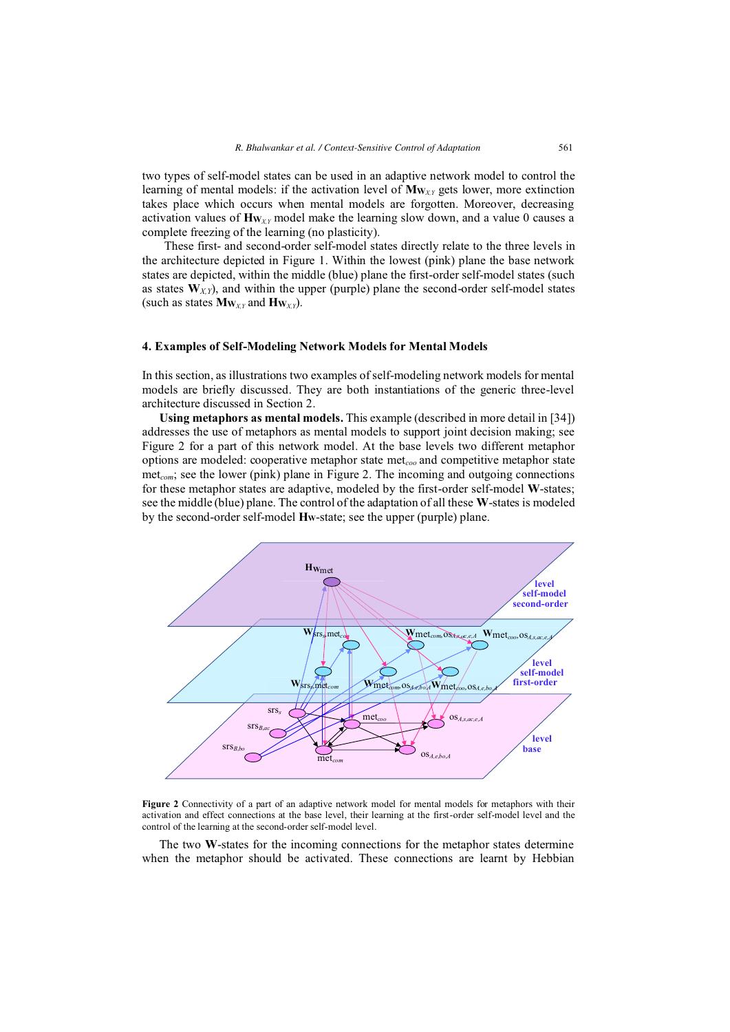two types of self-model states can be used in an adaptive network model to control the learning of mental models: if the activation level of **MW***X,Y* gets lower, more extinction takes place which occurs when mental models are forgotten. Moreover, decreasing activation values of **HW***X,Y* model make the learning slow down, and a value 0 causes a complete freezing of the learning (no plasticity).

These first- and second-order self-model states directly relate to the three levels in the architecture depicted in Figure 1. Within the lowest (pink) plane the base network states are depicted, within the middle (blue) plane the first-order self-model states (such as states  $W_{XY}$ ), and within the upper (purple) plane the second-order self-model states (such as states  $Mw_{XY}$  and  $Hw_{XY}$ ).

#### **4. Examples of Self-Modeling Network Models for Mental Models**

In this section, as illustrations two examples of self-modeling network models for mental models are briefly discussed. They are both instantiations of the generic three-level architecture discussed in Section 2.

**Using metaphors as mental models.** This example (described in more detail in [34]) addresses the use of metaphors as mental models to support joint decision making; see Figure 2 for a part of this network model. At the base levels two different metaphor options are modeled: cooperative metaphor state met*coo* and competitive metaphor state met<sub>com</sub>; see the lower (pink) plane in Figure 2. The incoming and outgoing connections for these metaphor states are adaptive, modeled by the first-order self-model **W**-states; see the middle (blue) plane. The control of the adaptation of all these **W**-states is modeled by the second-order self-model **HW**-state; see the upper (purple) plane.



**Figure 2** Connectivity of a part of an adaptive network model for mental models for metaphors with their activation and effect connections at the base level, their learning at the first-order self-model level and the control of the learning at the second-order self-model level.

The two **W**-states for the incoming connections for the metaphor states determine when the metaphor should be activated. These connections are learnt by Hebbian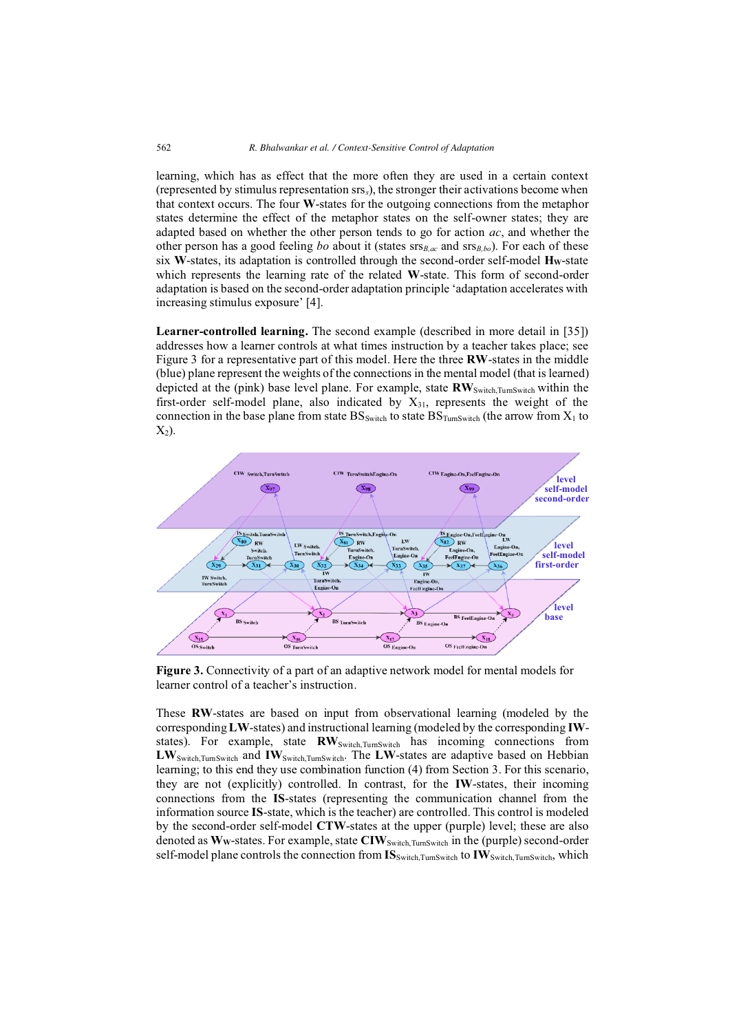learning, which has as effect that the more often they are used in a certain context (represented by stimulus representation srs*s*), the stronger their activations become when that context occurs. The four **W**-states for the outgoing connections from the metaphor states determine the effect of the metaphor states on the self-owner states; they are adapted based on whether the other person tends to go for action *ac*, and whether the other person has a good feeling *bo* about it (states srs*B,ac* and srs*B,bo*). For each of these six W-states, its adaptation is controlled through the second-order self-model Hw-state which represents the learning rate of the related **W**-state. This form of second-order adaptation is based on the second-order adaptation principle 'adaptation accelerates with increasing stimulus exposure' [4].

**Learner-controlled learning.** The second example (described in more detail in [35]) addresses how a learner controls at what times instruction by a teacher takes place; see Figure 3 for a representative part of this model. Here the three **RW**-states in the middle (blue) plane represent the weights of the connections in the mental model (that is learned) depicted at the (pink) base level plane. For example, state **RW**Switch,TurnSwitch within the first-order self-model plane, also indicated by  $X_{31}$ , represents the weight of the connection in the base plane from state  $BS_{Switch}$  to state  $BS_{TurnSwitch}$  (the arrow from  $X_1$  to  $X_2$ ).



**Figure 3.** Connectivity of a part of an adaptive network model for mental models for learner control of a teacher's instruction.

These **RW**-states are based on input from observational learning (modeled by the corresponding **LW**-states) and instructional learning (modeled by the corresponding **IW**states). For example, state **RW**<sub>Switch</sub>, TumSwitch has incoming connections from LW<sub>Switch,TurnSwitch</sub> and **IW**<sub>Switch,TurnSwitch</sub>. The LW-states are adaptive based on Hebbian learning; to this end they use combination function (4) from Section 3. For this scenario, they are not (explicitly) controlled. In contrast, for the **IW**-states, their incoming connections from the **IS**-states (representing the communication channel from the information source **IS**-state, which is the teacher) are controlled. This control is modeled by the second-order self-model **CTW**-states at the upper (purple) level; these are also denoted as Ww-states. For example, state CIW<sub>Switch,TurnSwitch</sub> in the (purple) second-order self-model plane controls the connection from  $IS_{\text{Switch, TurnSwitch}}$  to  $IW_{\text{Switch, TurnSwitch}}$ , which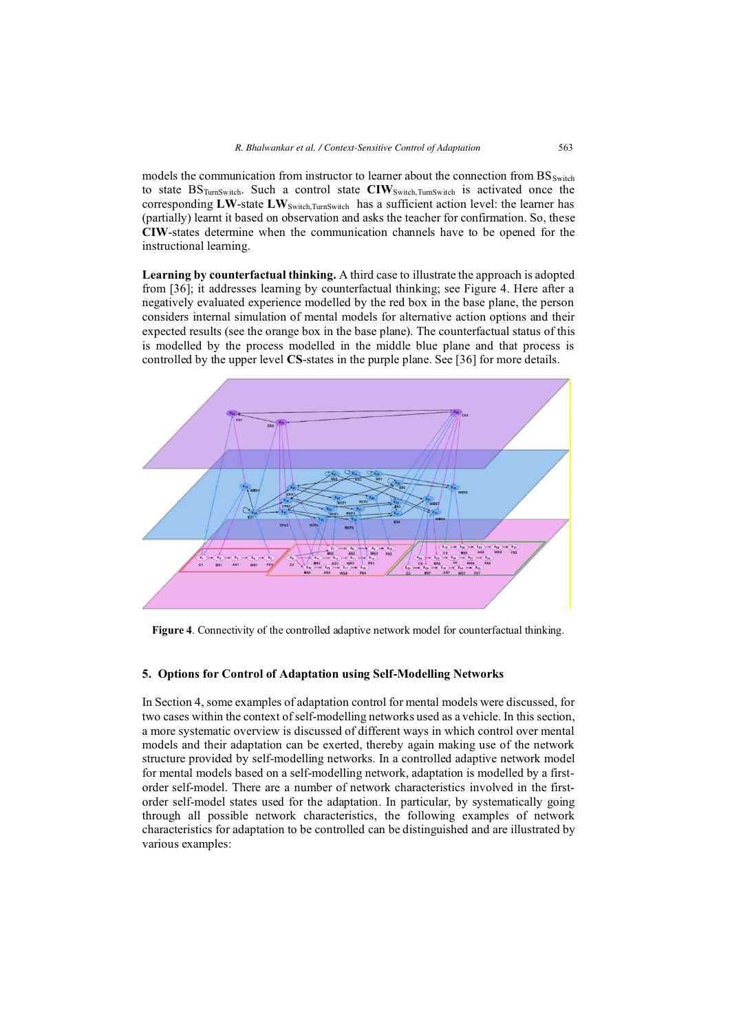models the communication from instructor to learner about the connection from BS<sub>Switch</sub> to state BSTurnSwitch. Such a control state **CIW**Switch,TurnSwitch is activated once the corresponding LW-state LW<sub>Switch,TurnSwitch</sub> has a sufficient action level: the learner has (partially) learnt it based on observation and asks the teacher for confirmation. So, these **CIW**-states determine when the communication channels have to be opened for the instructional learning.

**Learning by counterfactual thinking.** A third case to illustrate the approach is adopted from [36]; it addresses learning by counterfactual thinking; see Figure 4. Here after a negatively evaluated experience modelled by the red box in the base plane, the person considers internal simulation of mental models for alternative action options and their expected results (see the orange box in the base plane). The counterfactual status of this is modelled by the process modelled in the middle blue plane and that process is controlled by the upper level **CS**-states in the purple plane. See [36] for more details.



**Figure 4**. Connectivity of the controlled adaptive network model for counterfactual thinking.

## **5. Options for Control of Adaptation using Self-Modelling Networks**

In Section 4, some examples of adaptation control for mental models were discussed, for two cases within the context of self-modelling networks used as a vehicle. In this section, a more systematic overview is discussed of different ways in which control over mental models and their adaptation can be exerted, thereby again making use of the network structure provided by self-modelling networks. In a controlled adaptive network model for mental models based on a self-modelling network, adaptation is modelled by a firstorder self-model. There are a number of network characteristics involved in the firstorder self-model states used for the adaptation. In particular, by systematically going through all possible network characteristics, the following examples of network characteristics for adaptation to be controlled can be distinguished and are illustrated by various examples: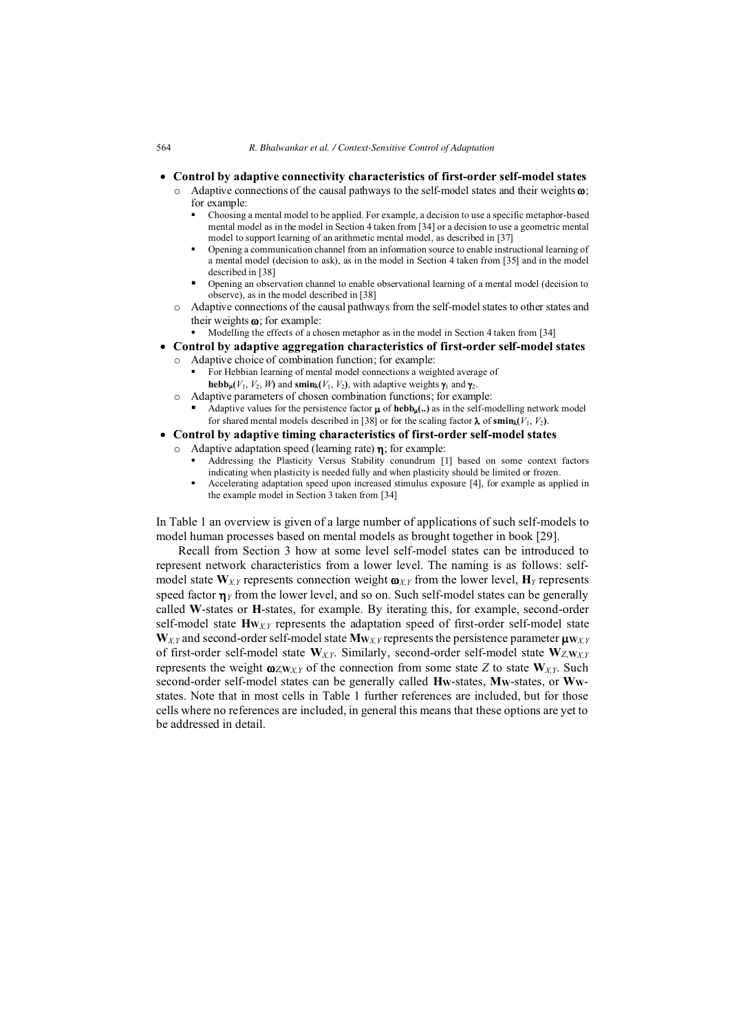- **Control by adaptive connectivity characteristics of first-order self-model states** 
	- $\circ$  Adaptive connections of the causal pathways to the self-model states and their weights  $\omega$ ; for example:
		- - Choosing a mental model to be applied. For example, a decision to use a specific metaphor-based mental model as in the model in Section 4 taken from [34] or a decision to use a geometric mental model to support learning of an arithmetic mental model, as described in [37]
		- - Opening a communication channel from an information source to enable instructional learning of a mental model (decision to ask), as in the model in Section 4 taken from [35] and in the model described in [38]
		- - Opening an observation channel to enable observational learning of a mental model (decision to observe), as in the model described in [38]
	- o Adaptive connections of the causal pathways from the self-model states to other states and their weights  $\omega$ ; for example:
		- -Modelling the effects of a chosen metaphor as in the model in Section 4 taken from [34]
- **Control by adaptive aggregation characteristics of first-order self-model states** 
	- Adaptive choice of combination function; for example:
		- - For Hebbian learning of mental model connections a weighted average of **hebb<sub>u</sub>**( $V_1$ ,  $V_2$ ,  $W$ ) and **smin**<sub> $\lambda$ </sub>( $V_1$ ,  $V_2$ ), with adaptive weights  $\gamma_1$  and  $\gamma_2$ .
	- o Adaptive parameters of chosen combination functions; for example:
		- -Adaptive values for the persistence factor  $\mu$  of **hebb<sub>u</sub>**(..) as in the self-modelling network model for shared mental models described in [38] or for the scaling factor  $\lambda$  of smin<sub> $\lambda$ </sub>( $V_1$ ,  $V_2$ ).
- **Control by adaptive timing characteristics of first-order self-model states** 
	- Adaptive adaptation speed (learning rate)  $\eta$ ; for example:
		- - Addressing the Plasticity Versus Stability conundrum [1] based on some context factors indicating when plasticity is needed fully and when plasticity should be limited or frozen.
		- - Accelerating adaptation speed upon increased stimulus exposure [4], for example as applied in the example model in Section 3 taken from [34]

In Table 1 an overview is given of a large number of applications of such self-models to model human processes based on mental models as brought together in book [29].

Recall from Section 3 how at some level self-model states can be introduced to represent network characteristics from a lower level. The naming is as follows: selfmodel state  $W_{X,Y}$  represents connection weight  $\omega_{X,Y}$  from the lower level,  $H_Y$  represents speed factor  $\eta_Y$  from the lower level, and so on. Such self-model states can be generally called **W**-states or **H**-states, for example. By iterating this, for example, second-order self-model state  $\mathbf{H}_{\mathbf{W}\chi\gamma}$  represents the adaptation speed of first-order self-model state  $W_{XY}$  and second-order self-model state  $M_{WXY}$  represents the persistence parameter  $\mu_{WXY}$ of first-order self-model state **W***X,Y*. Similarly, second-order self-model state **W***Z*,**W***X,Y* represents the weight  $\omega_{ZWXY}$  of the connection from some state *Z* to state  $W_{XY}$ . Such second-order self-model states can be generally called **HW**-states, **MW**-states, or **WW**states. Note that in most cells in Table 1 further references are included, but for those cells where no references are included, in general this means that these options are yet to be addressed in detail.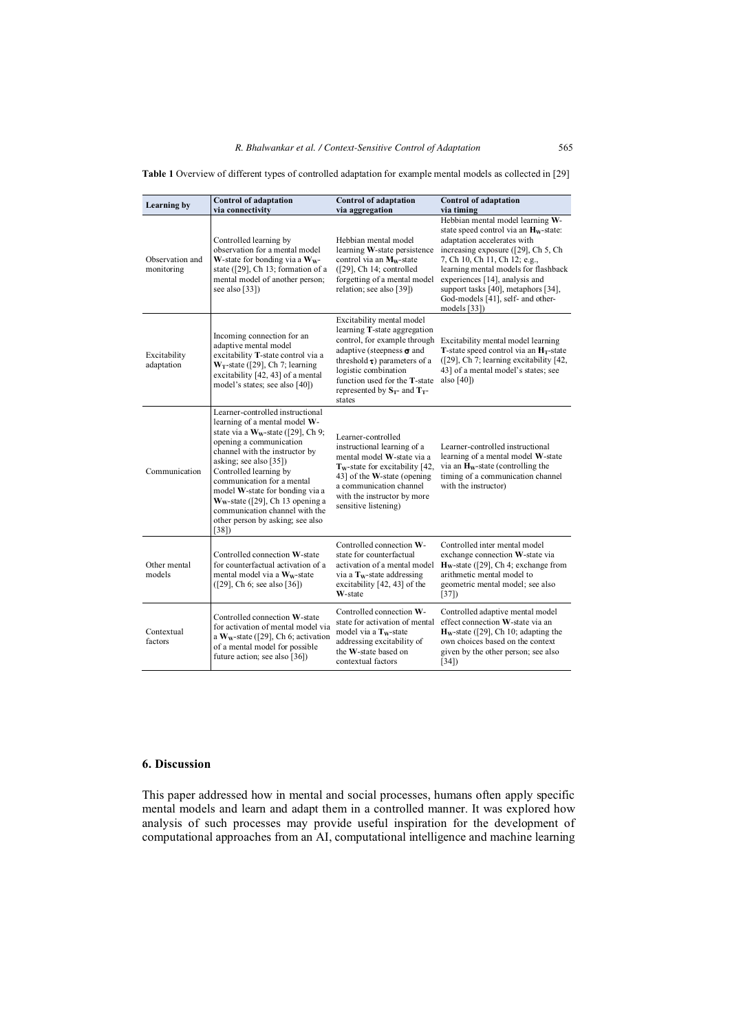| Table 1 Overview of different types of controlled adaptation for example mental models as collected in [29] |  |
|-------------------------------------------------------------------------------------------------------------|--|
|-------------------------------------------------------------------------------------------------------------|--|

| <b>Learning by</b>            | <b>Control of adaptation</b><br>via connectivity                                                                                                                                                                                                                                                                                                                                                                  | <b>Control of adaptation</b><br>via aggregation                                                                                                                                                                                                                                      | <b>Control of adaptation</b><br>via timing                                                                                                                                                                                                                                                                                                                          |
|-------------------------------|-------------------------------------------------------------------------------------------------------------------------------------------------------------------------------------------------------------------------------------------------------------------------------------------------------------------------------------------------------------------------------------------------------------------|--------------------------------------------------------------------------------------------------------------------------------------------------------------------------------------------------------------------------------------------------------------------------------------|---------------------------------------------------------------------------------------------------------------------------------------------------------------------------------------------------------------------------------------------------------------------------------------------------------------------------------------------------------------------|
| Observation and<br>monitoring | Controlled learning by<br>observation for a mental model<br>W-state for bonding via a $W_w$ -<br>state ([29], Ch 13; formation of a<br>mental model of another person;<br>see also $[33]$                                                                                                                                                                                                                         | Hebbian mental model<br>learning W-state persistence<br>control via an M <sub>w</sub> -state<br>([29], Ch 14; controlled)<br>forgetting of a mental model<br>relation; see also [39])                                                                                                | Hebbian mental model learning W-<br>state speed control via an H <sub>w</sub> -state:<br>adaptation accelerates with<br>increasing exposure ([29], Ch 5, Ch<br>7, Ch 10, Ch 11, Ch 12; e.g.,<br>learning mental models for flashback<br>experiences [14], analysis and<br>support tasks [40], metaphors [34],<br>God-models [41], self- and other-<br>models $[33]$ |
| Excitability<br>adaptation    | Incoming connection for an<br>adaptive mental model<br>excitability T-state control via a<br>$W_T$ -state ([29], Ch 7; learning<br>excitability [42, 43] of a mental<br>model's states; see also [40])                                                                                                                                                                                                            | Excitability mental model<br>learning T-state aggregation<br>control, for example through<br>adaptive (steepness $\sigma$ and<br>threshold $\tau$ ) parameters of a<br>logistic combination<br>function used for the <b>T</b> -state<br>represented by $S_T$ - and $T_T$ -<br>states | Excitability mental model learning<br><b>T</b> -state speed control via an $H_T$ -state<br>$(29)$ , Ch 7; learning excitability $[42, 1]$<br>43] of a mental model's states; see<br>also $[40]$                                                                                                                                                                     |
| Communication                 | Learner-controlled instructional<br>learning of a mental model W-<br>state via a $W_w$ -state ([29], Ch 9;<br>opening a communication<br>channel with the instructor by<br>asking; see also [35])<br>Controlled learning by<br>communication for a mental<br>model W-state for bonding via a<br>$W_w$ -state ([29], Ch 13 opening a<br>communication channel with the<br>other person by asking; see also<br>[38] | Learner-controlled<br>instructional learning of a<br>mental model W-state via a<br>$T_w$ -state for excitability [42,<br>43] of the W-state (opening<br>a communication channel<br>with the instructor by more<br>sensitive listening)                                               | Learner-controlled instructional<br>learning of a mental model W-state<br>via an $H_w$ -state (controlling the<br>timing of a communication channel<br>with the instructor)                                                                                                                                                                                         |
| Other mental<br>models        | Controlled connection W-state<br>for counterfactual activation of a<br>mental model via a W <sub>w</sub> -state<br>([29], Ch 6; see also [36])                                                                                                                                                                                                                                                                    | Controlled connection W-<br>state for counterfactual<br>activation of a mental model<br>via a $T_w$ -state addressing<br>excitability [42, 43] of the<br>W-state                                                                                                                     | Controlled inter mental model<br>exchange connection W-state via<br>$H_w$ -state ([29], Ch 4; exchange from<br>arithmetic mental model to<br>geometric mental model; see also<br>[37]                                                                                                                                                                               |
| Contextual<br>factors         | Controlled connection W-state<br>for activation of mental model via<br>a W <sub>w</sub> -state ([29], Ch 6; activation<br>of a mental model for possible<br>future action; see also [36])                                                                                                                                                                                                                         | Controlled connection W-<br>state for activation of mental<br>model via a T <sub>w</sub> -state<br>addressing excitability of<br>the W-state based on<br>contextual factors                                                                                                          | Controlled adaptive mental model<br>effect connection W-state via an<br>$H_w$ -state ([29], Ch 10; adapting the<br>own choices based on the context<br>given by the other person; see also<br>[34]                                                                                                                                                                  |

## **6. Discussion**

This paper addressed how in mental and social processes, humans often apply specific mental models and learn and adapt them in a controlled manner. It was explored how analysis of such processes may provide useful inspiration for the development of computational approaches from an AI, computational intelligence and machine learning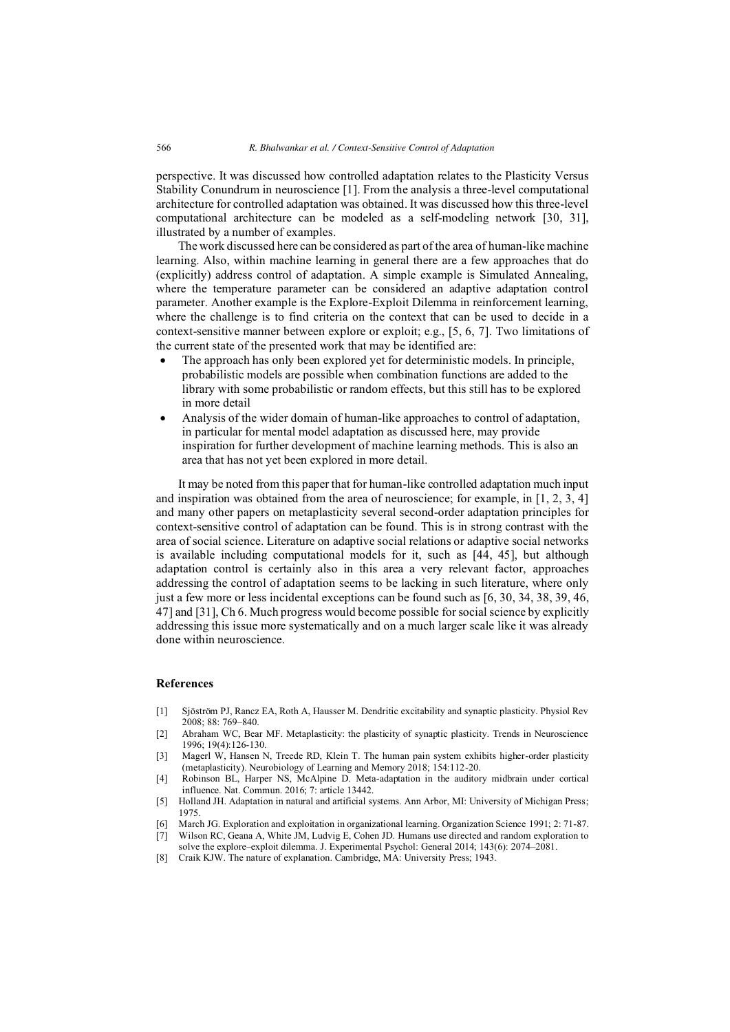perspective. It was discussed how controlled adaptation relates to the Plasticity Versus Stability Conundrum in neuroscience [1]. From the analysis a three-level computational architecture for controlled adaptation was obtained. It was discussed how this three-level computational architecture can be modeled as a self-modeling network [30, 31], illustrated by a number of examples.

The work discussed here can be considered as part of the area of human-like machine learning. Also, within machine learning in general there are a few approaches that do (explicitly) address control of adaptation. A simple example is Simulated Annealing, where the temperature parameter can be considered an adaptive adaptation control parameter. Another example is the Explore-Exploit Dilemma in reinforcement learning, where the challenge is to find criteria on the context that can be used to decide in a context-sensitive manner between explore or exploit; e.g., [5, 6, 7]. Two limitations of the current state of the presented work that may be identified are:

- - The approach has only been explored yet for deterministic models. In principle, probabilistic models are possible when combination functions are added to the library with some probabilistic or random effects, but this still has to be explored in more detail
- - Analysis of the wider domain of human-like approaches to control of adaptation, in particular for mental model adaptation as discussed here, may provide inspiration for further development of machine learning methods. This is also an area that has not yet been explored in more detail.

It may be noted from this paper that for human-like controlled adaptation much input and inspiration was obtained from the area of neuroscience; for example, in [1, 2, 3, 4] and many other papers on metaplasticity several second-order adaptation principles for context-sensitive control of adaptation can be found. This is in strong contrast with the area of social science. Literature on adaptive social relations or adaptive social networks is available including computational models for it, such as [44, 45], but although adaptation control is certainly also in this area a very relevant factor, approaches addressing the control of adaptation seems to be lacking in such literature, where only just a few more or less incidental exceptions can be found such as [6, 30, 34, 38, 39, 46, 47] and [31], Ch 6. Much progress would become possible for social science by explicitly addressing this issue more systematically and on a much larger scale like it was already done within neuroscience.

#### **References**

- [1] Sjöström PJ, Rancz EA, Roth A, Hausser M. Dendritic excitability and synaptic plasticity. Physiol Rev 2008; 88: 769–840.
- [2] Abraham WC, Bear MF. Metaplasticity: the plasticity of synaptic plasticity. Trends in Neuroscience 1996; 19(4):126-130.
- [3] Magerl W, Hansen N, Treede RD, Klein T. The human pain system exhibits higher-order plasticity (metaplasticity). Neurobiology of Learning and Memory 2018; 154:112-20.
- [4] Robinson BL, Harper NS, McAlpine D. Meta-adaptation in the auditory midbrain under cortical influence. Nat. Commun. 2016; 7: article 13442.
- [5] Holland JH. Adaptation in natural and artificial systems. Ann Arbor, MI: University of Michigan Press; 1975.
- [6] March JG. Exploration and exploitation in organizational learning. Organization Science 1991; 2: 71-87.
- [7] Wilson RC, Geana A, White JM, Ludvig E, Cohen JD. Humans use directed and random exploration to solve the explore–exploit dilemma. J. Experimental Psychol: General 2014; 143(6): 2074–2081.
- [8] Craik KJW. The nature of explanation. Cambridge, MA: University Press; 1943.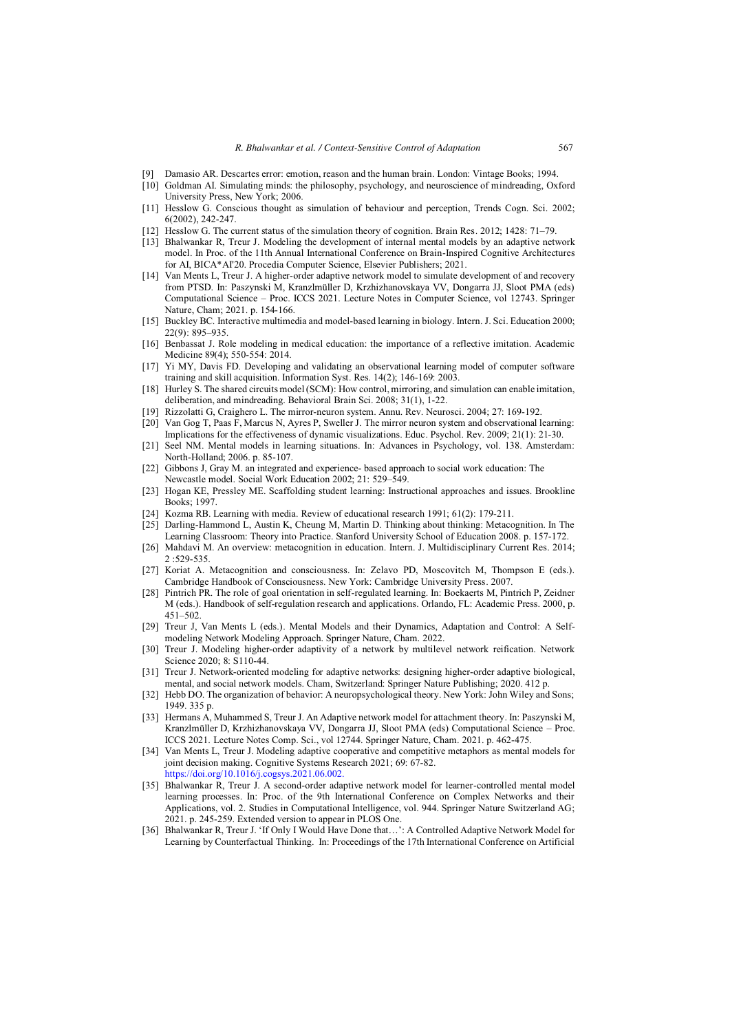- [9] Damasio AR. Descartes error: emotion, reason and the human brain. London: Vintage Books; 1994.
- [10] Goldman AI. Simulating minds: the philosophy, psychology, and neuroscience of mindreading, Oxford University Press, New York; 2006.
- [11] Hesslow G. Conscious thought as simulation of behaviour and perception, Trends Cogn. Sci. 2002; 6(2002), 242-247.
- [12] Hesslow G. The current status of the simulation theory of cognition. Brain Res. 2012; 1428: 71–79.
- [13] Bhalwankar R, Treur J. Modeling the development of internal mental models by an adaptive network model. In Proc. of the 11th Annual International Conference on Brain-Inspired Cognitive Architectures for AI, BICA\*AI'20. Procedia Computer Science, Elsevier Publishers; 2021.
- [14] Van Ments L, Treur J. A higher-order adaptive network model to simulate development of and recovery from PTSD. In: Paszynski M, Kranzlmüller D, Krzhizhanovskaya VV, Dongarra JJ, Sloot PMA (eds) Computational Science – Proc. ICCS 2021. Lecture Notes in Computer Science, vol 12743. Springer Nature, Cham; 2021. p. 154-166.
- [15] Buckley BC. Interactive multimedia and model-based learning in biology. Intern. J. Sci. Education 2000; 22(9): 895–935.
- [16] Benbassat J. Role modeling in medical education: the importance of a reflective imitation. Academic Medicine 89(4); 550-554: 2014.
- [17] Yi MY, Davis FD. Developing and validating an observational learning model of computer software training and skill acquisition. Information Syst. Res. 14(2); 146-169: 2003.
- [18] Hurley S. The shared circuits model (SCM): How control, mirroring, and simulation can enable imitation, deliberation, and mindreading. Behavioral Brain Sci. 2008; 31(1), 1-22.
- [19] Rizzolatti G, Craighero L. The mirror-neuron system. Annu. Rev. Neurosci. 2004; 27: 169-192.
- [20] Van Gog T, Paas F, Marcus N, Ayres P, Sweller J. The mirror neuron system and observational learning: Implications for the effectiveness of dynamic visualizations. Educ. Psychol. Rev. 2009; 21(1): 21-30.
- [21] Seel NM. Mental models in learning situations. In: Advances in Psychology, vol. 138. Amsterdam: North-Holland; 2006. p. 85-107.
- [22] Gibbons J, Gray M. an integrated and experience- based approach to social work education: The Newcastle model. Social Work Education 2002; 21: 529–549.
- [23] Hogan KE, Pressley ME. Scaffolding student learning: Instructional approaches and issues. Brookline Books; 1997.
- [24] Kozma RB. Learning with media. Review of educational research 1991; 61(2): 179-211.
- [25] Darling-Hammond L, Austin K, Cheung M, Martin D. Thinking about thinking: Metacognition. In The Learning Classroom: Theory into Practice. Stanford University School of Education 2008. p. 157-172.
- [26] Mahdavi M. An overview: metacognition in education. Intern. J. Multidisciplinary Current Res. 2014; 2 :529-535.
- [27] Koriat A. Metacognition and consciousness. In: Zelavo PD, Moscovitch M, Thompson E (eds.). Cambridge Handbook of Consciousness. New York: Cambridge University Press. 2007.
- [28] Pintrich PR. The role of goal orientation in self-regulated learning. In: Boekaerts M, Pintrich P, Zeidner M (eds.). Handbook of self-regulation research and applications. Orlando, FL: Academic Press. 2000, p. 451–502.
- [29] Treur J, Van Ments L (eds.). Mental Models and their Dynamics, Adaptation and Control: A Selfmodeling Network Modeling Approach. Springer Nature, Cham. 2022.
- [30] Treur J. Modeling higher-order adaptivity of a network by multilevel network reification. Network Science 2020; 8: S110-44.
- [31] Treur J. Network-oriented modeling for adaptive networks: designing higher-order adaptive biological, mental, and social network models. Cham, Switzerland: Springer Nature Publishing; 2020. 412 p.
- [32] Hebb DO. The organization of behavior: A neuropsychological theory. New York: John Wiley and Sons; 1949. 335 p.
- [33] Hermans A, Muhammed S, Treur J. An Adaptive network model for attachment theory. In: Paszynski M, Kranzlmüller D, Krzhizhanovskaya VV, Dongarra JJ, Sloot PMA (eds) Computational Science – Proc. ICCS 2021. Lecture Notes Comp. Sci., vol 12744. Springer Nature, Cham. 2021. p. 462-475.
- [34] Van Ments L, Treur J. Modeling adaptive cooperative and competitive metaphors as mental models for joint decision making. Cognitive Systems Research 2021; 69: 67-82. [https://doi.org/10.1016/j.cogsys.2021.06.002.](https://doi.org/10.1016/j.cogsys.2021.06.002)
- [35] Bhalwankar R, Treur J. A second-order adaptive network model for learner-controlled mental model learning processes. In: Proc. of the 9th International Conference on Complex Networks and their Applications, vol. 2. Studies in Computational Intelligence, vol. 944. Springer Nature Switzerland AG; 2021. p. 245-259. Extended version to appear in PLOS One.
- [36] Bhalwankar R, Treur J. 'If Only I Would Have Done that…': A Controlled Adaptive Network Model for Learning by Counterfactual Thinking. In: Proceedings of the 17th International Conference on Artificial